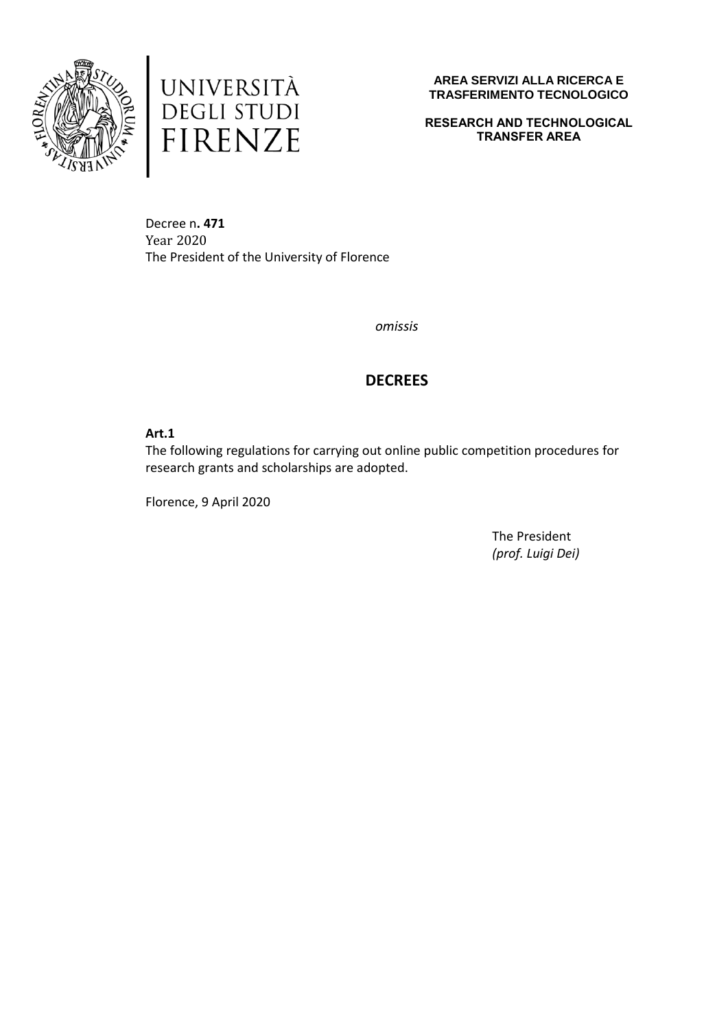



**RESEARCH AND TECHNOLOGICAL TRANSFER AREA**

Decree n**. 471**  Year 2020 The President of the University of Florence

*omissis*

# **DECREES**

## **Art.1**

The following regulations for carrying out online public competition procedures for research grants and scholarships are adopted.

Florence, 9 April 2020

The President *(prof. Luigi Dei)*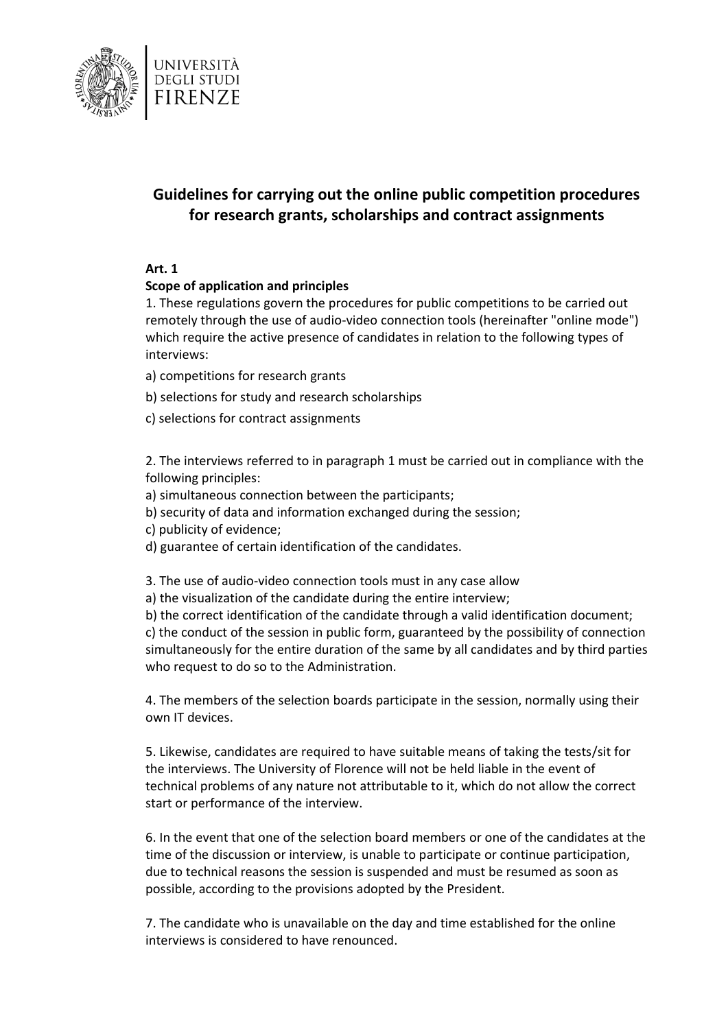

# **Guidelines for carrying out the online public competition procedures for research grants, scholarships and contract assignments**

#### **Art. 1**

## **Scope of application and principles**

1. These regulations govern the procedures for public competitions to be carried out remotely through the use of audio-video connection tools (hereinafter "online mode") which require the active presence of candidates in relation to the following types of interviews:

- a) competitions for research grants
- b) selections for study and research scholarships
- c) selections for contract assignments

2. The interviews referred to in paragraph 1 must be carried out in compliance with the following principles:

- a) simultaneous connection between the participants;
- b) security of data and information exchanged during the session;
- c) publicity of evidence;
- d) guarantee of certain identification of the candidates.

3. The use of audio-video connection tools must in any case allow

a) the visualization of the candidate during the entire interview;

b) the correct identification of the candidate through a valid identification document; c) the conduct of the session in public form, guaranteed by the possibility of connection simultaneously for the entire duration of the same by all candidates and by third parties who request to do so to the Administration.

4. The members of the selection boards participate in the session, normally using their own IT devices.

5. Likewise, candidates are required to have suitable means of taking the tests/sit for the interviews. The University of Florence will not be held liable in the event of technical problems of any nature not attributable to it, which do not allow the correct start or performance of the interview.

6. In the event that one of the selection board members or one of the candidates at the time of the discussion or interview, is unable to participate or continue participation, due to technical reasons the session is suspended and must be resumed as soon as possible, according to the provisions adopted by the President.

7. The candidate who is unavailable on the day and time established for the online interviews is considered to have renounced.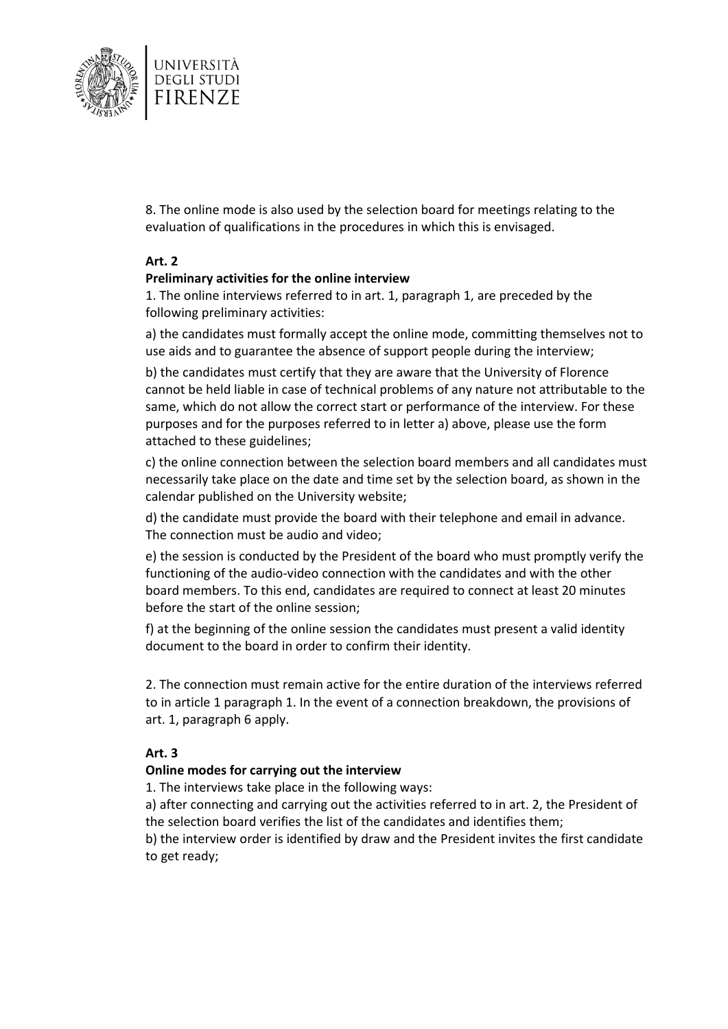

8. The online mode is also used by the selection board for meetings relating to the evaluation of qualifications in the procedures in which this is envisaged.

## **Art. 2**

## **Preliminary activities for the online interview**

1. The online interviews referred to in art. 1, paragraph 1, are preceded by the following preliminary activities:

a) the candidates must formally accept the online mode, committing themselves not to use aids and to guarantee the absence of support people during the interview;

b) the candidates must certify that they are aware that the University of Florence cannot be held liable in case of technical problems of any nature not attributable to the same, which do not allow the correct start or performance of the interview. For these purposes and for the purposes referred to in letter a) above, please use the form attached to these guidelines;

c) the online connection between the selection board members and all candidates must necessarily take place on the date and time set by the selection board, as shown in the calendar published on the University website;

d) the candidate must provide the board with their telephone and email in advance. The connection must be audio and video;

e) the session is conducted by the President of the board who must promptly verify the functioning of the audio-video connection with the candidates and with the other board members. To this end, candidates are required to connect at least 20 minutes before the start of the online session;

f) at the beginning of the online session the candidates must present a valid identity document to the board in order to confirm their identity.

2. The connection must remain active for the entire duration of the interviews referred to in article 1 paragraph 1. In the event of a connection breakdown, the provisions of art. 1, paragraph 6 apply.

## **Art. 3**

#### **Online modes for carrying out the interview**

1. The interviews take place in the following ways:

a) after connecting and carrying out the activities referred to in art. 2, the President of the selection board verifies the list of the candidates and identifies them;

b) the interview order is identified by draw and the President invites the first candidate to get ready;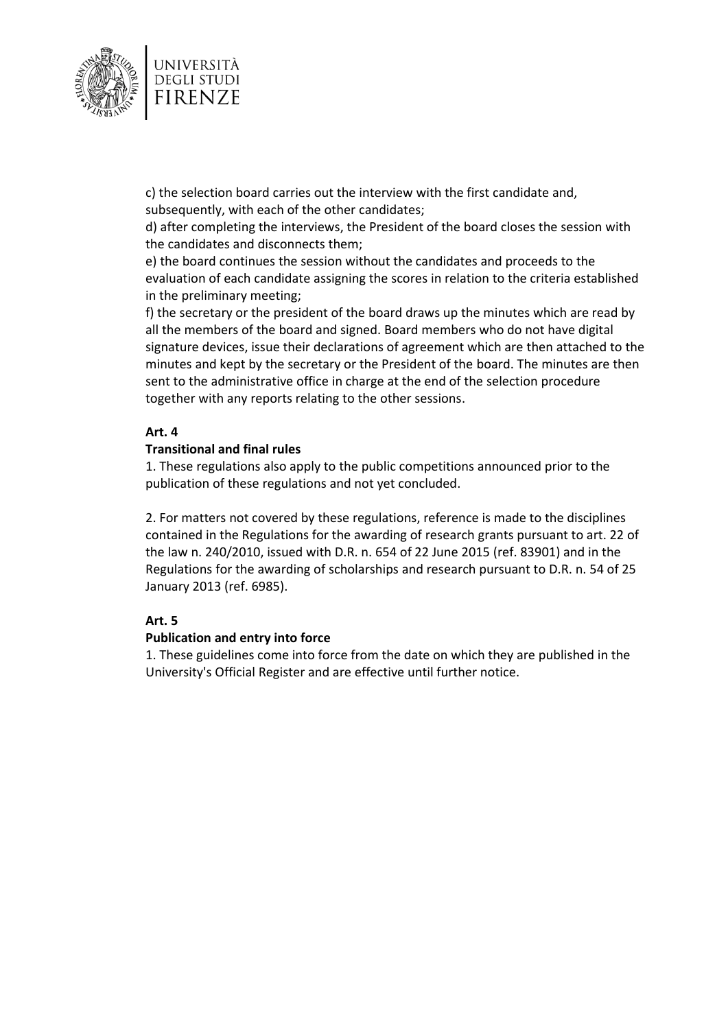

c) the selection board carries out the interview with the first candidate and, subsequently, with each of the other candidates;

d) after completing the interviews, the President of the board closes the session with the candidates and disconnects them;

e) the board continues the session without the candidates and proceeds to the evaluation of each candidate assigning the scores in relation to the criteria established in the preliminary meeting;

f) the secretary or the president of the board draws up the minutes which are read by all the members of the board and signed. Board members who do not have digital signature devices, issue their declarations of agreement which are then attached to the minutes and kept by the secretary or the President of the board. The minutes are then sent to the administrative office in charge at the end of the selection procedure together with any reports relating to the other sessions.

## **Art. 4**

## **Transitional and final rules**

1. These regulations also apply to the public competitions announced prior to the publication of these regulations and not yet concluded.

2. For matters not covered by these regulations, reference is made to the disciplines contained in the Regulations for the awarding of research grants pursuant to art. 22 of the law n. 240/2010, issued with D.R. n. 654 of 22 June 2015 (ref. 83901) and in the Regulations for the awarding of scholarships and research pursuant to D.R. n. 54 of 25 January 2013 (ref. 6985).

## **Art. 5**

## **Publication and entry into force**

1. These guidelines come into force from the date on which they are published in the University's Official Register and are effective until further notice.